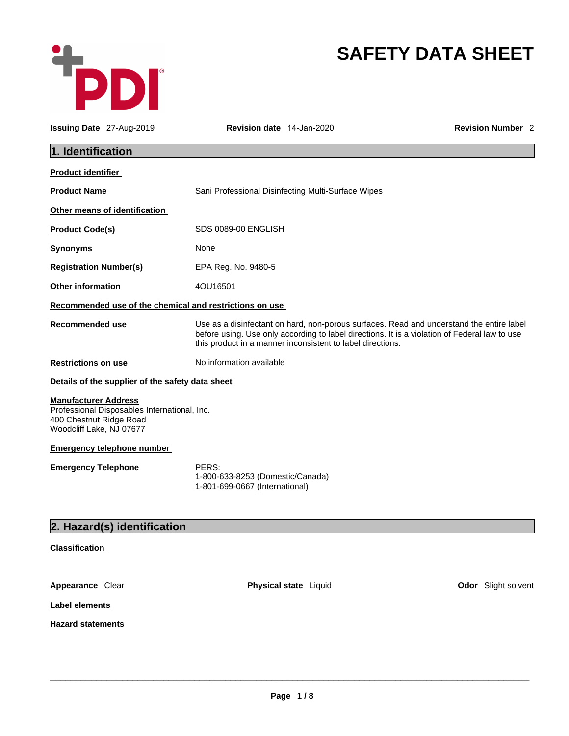

# **SAFETY DATA SHEET**

| <b>Issuing Date</b> 27-Aug-2019                                                    |                                                  | <b>Revision date</b> 14-Jan-2020                                                                                                                                                                                                                        |  | <b>Revision Number 2</b> |
|------------------------------------------------------------------------------------|--------------------------------------------------|---------------------------------------------------------------------------------------------------------------------------------------------------------------------------------------------------------------------------------------------------------|--|--------------------------|
| 1. Identification                                                                  |                                                  |                                                                                                                                                                                                                                                         |  |                          |
| Product identifier                                                                 |                                                  |                                                                                                                                                                                                                                                         |  |                          |
| <b>Product Name</b>                                                                |                                                  | Sani Professional Disinfecting Multi-Surface Wipes                                                                                                                                                                                                      |  |                          |
|                                                                                    | Other means of identification                    |                                                                                                                                                                                                                                                         |  |                          |
| <b>Product Code(s)</b>                                                             |                                                  | SDS 0089-00 ENGLISH                                                                                                                                                                                                                                     |  |                          |
| Synonyms                                                                           |                                                  | None                                                                                                                                                                                                                                                    |  |                          |
| <b>Registration Number(s)</b>                                                      |                                                  | EPA Reg. No. 9480-5                                                                                                                                                                                                                                     |  |                          |
| <b>Other information</b>                                                           |                                                  | 4OU16501                                                                                                                                                                                                                                                |  |                          |
|                                                                                    |                                                  | Recommended use of the chemical and restrictions on use                                                                                                                                                                                                 |  |                          |
| <b>Recommended use</b>                                                             |                                                  | Use as a disinfectant on hard, non-porous surfaces. Read and understand the entire label<br>before using. Use only according to label directions. It is a violation of Federal law to use<br>this product in a manner inconsistent to label directions. |  |                          |
| <b>Restrictions on use</b>                                                         |                                                  | No information available                                                                                                                                                                                                                                |  |                          |
|                                                                                    | Details of the supplier of the safety data sheet |                                                                                                                                                                                                                                                         |  |                          |
| <b>Manufacturer Address</b><br>400 Chestnut Ridge Road<br>Woodcliff Lake, NJ 07677 | Professional Disposables International, Inc.     |                                                                                                                                                                                                                                                         |  |                          |
|                                                                                    | Emergency telephone number                       |                                                                                                                                                                                                                                                         |  |                          |
| <b>Emergency Telephone</b>                                                         |                                                  | PERS:<br>1-800-633-8253 (Domestic/Canada)<br>1-801-699-0667 (International)                                                                                                                                                                             |  |                          |
|                                                                                    | 2. Hazard(s) identification                      |                                                                                                                                                                                                                                                         |  |                          |
|                                                                                    |                                                  |                                                                                                                                                                                                                                                         |  |                          |
| <b>Classification</b>                                                              |                                                  |                                                                                                                                                                                                                                                         |  |                          |
| Appearance Clear                                                                   |                                                  | <b>Physical state</b> Liquid                                                                                                                                                                                                                            |  | Odor Slight solvent      |

**Label elements** 

**Hazard statements**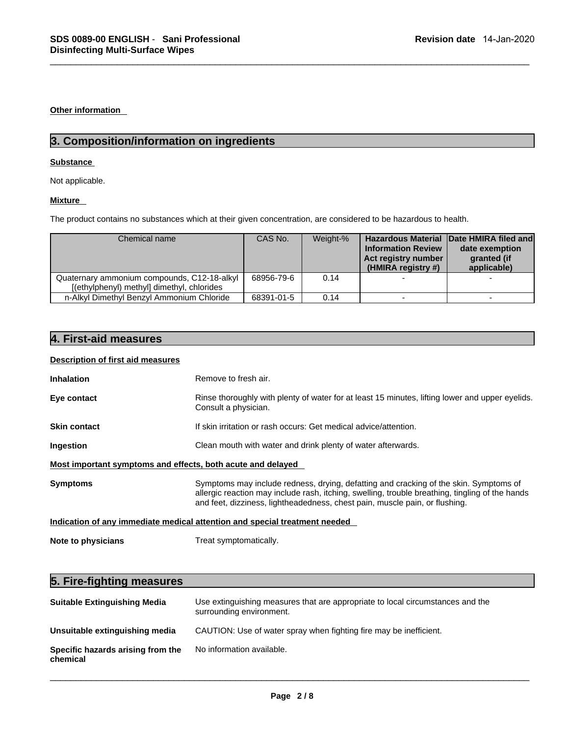**Other information** 

# **Substance**

# **Mixture**

| Not applicable.                                                                                                  |            |          |                                                                        |                                                                                         |
|------------------------------------------------------------------------------------------------------------------|------------|----------|------------------------------------------------------------------------|-----------------------------------------------------------------------------------------|
| <b>Mixture</b>                                                                                                   |            |          |                                                                        |                                                                                         |
| The product contains no substances which at their given concentration, are considered to be hazardous to health. |            |          |                                                                        |                                                                                         |
| Chemical name                                                                                                    | CAS No.    | Weight-% | <b>Information Review</b><br>Act registry number<br>(HMIRA registry #) | Hazardous Material Date HMIRA filed and<br>date exemption<br>granted (if<br>applicable) |
| Quaternary ammonium compounds, C12-18-alkyl<br>[(ethylphenyl) methyl] dimethyl, chlorides                        | 68956-79-6 | 0.14     |                                                                        |                                                                                         |
| n-Alkyl Dimethyl Benzyl Ammonium Chloride                                                                        | 68391-01-5 | 0.14     |                                                                        |                                                                                         |
|                                                                                                                  |            |          |                                                                        |                                                                                         |
|                                                                                                                  |            |          |                                                                        |                                                                                         |
|                                                                                                                  |            |          |                                                                        |                                                                                         |
| 4. First-aid measures<br>Description of first aid measures                                                       |            |          |                                                                        |                                                                                         |

# **Description of first aid measures**

| <b>Inhalation</b>                                           | Remove to fresh air.                                                                                                                                                                                                                                                    |  |  |
|-------------------------------------------------------------|-------------------------------------------------------------------------------------------------------------------------------------------------------------------------------------------------------------------------------------------------------------------------|--|--|
| Eye contact                                                 | Rinse thoroughly with plenty of water for at least 15 minutes, lifting lower and upper eyelids.<br>Consult a physician.                                                                                                                                                 |  |  |
| <b>Skin contact</b>                                         | If skin irritation or rash occurs: Get medical advice/attention.                                                                                                                                                                                                        |  |  |
| Ingestion                                                   | Clean mouth with water and drink plenty of water afterwards.                                                                                                                                                                                                            |  |  |
| Most important symptoms and effects, both acute and delayed |                                                                                                                                                                                                                                                                         |  |  |
| <b>Symptoms</b>                                             | Symptoms may include redness, drying, defatting and cracking of the skin. Symptoms of<br>allergic reaction may include rash, itching, swelling, trouble breathing, tingling of the hands<br>and feet, dizziness, lightheadedness, chest pain, muscle pain, or flushing. |  |  |
|                                                             | Indication of any immediate medical attention and special treatment needed                                                                                                                                                                                              |  |  |
| Note to physicians                                          | Treat symptomatically.                                                                                                                                                                                                                                                  |  |  |
| 5. Fire-fighting measures                                   |                                                                                                                                                                                                                                                                         |  |  |
| <b>Suitable Extinguishing Media</b>                         | Use extinguishing measures that are appropriate to local circumstances and the<br>surrounding environment.                                                                                                                                                              |  |  |

# **Suitable Extinguishing Media** Use extinguishing measures that are appropriate to local circumstances and the surrounding environment. **Unsuitable extinguishing media** CAUTION: Use of water spray when fighting fire may be inefficient. **Specific hazards arising from the chemical**  No information available.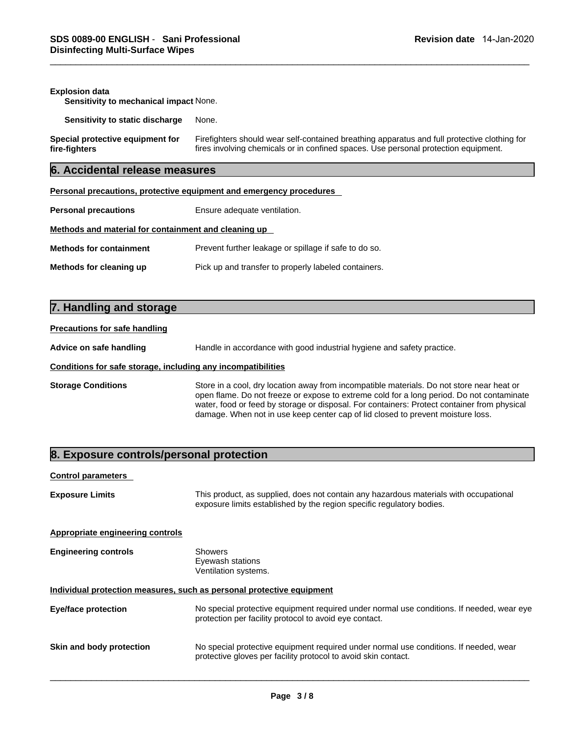| SDS 0089-00 ENGLISH - Sani Professional<br>Revision date 14-Jan-2020<br><b>Disinfecting Multi-Surface Wipes</b> |                                                                                                                                                                                     |  |  |  |  |
|-----------------------------------------------------------------------------------------------------------------|-------------------------------------------------------------------------------------------------------------------------------------------------------------------------------------|--|--|--|--|
| <b>Explosion data</b><br>Sensitivity to mechanical impact None.                                                 |                                                                                                                                                                                     |  |  |  |  |
| Sensitivity to static discharge                                                                                 | None.                                                                                                                                                                               |  |  |  |  |
| Special protective equipment for<br>fire-fighters                                                               | Firefighters should wear self-contained breathing apparatus and full protective clothing for<br>fires involving chemicals or in confined spaces. Use personal protection equipment. |  |  |  |  |
| 6. Accidental release measures                                                                                  |                                                                                                                                                                                     |  |  |  |  |
|                                                                                                                 | Personal precautions, protective equipment and emergency procedures                                                                                                                 |  |  |  |  |
| <b>Personal precautions</b>                                                                                     | Ensure adequate ventilation.                                                                                                                                                        |  |  |  |  |
| Methods and material for containment and cleaning up                                                            |                                                                                                                                                                                     |  |  |  |  |
| <b>Methods for containment</b>                                                                                  | Prevent further leakage or spillage if safe to do so.                                                                                                                               |  |  |  |  |
| Methods for cleaning up                                                                                         | Pick up and transfer to properly labeled containers.                                                                                                                                |  |  |  |  |
| 7. Handling and storage                                                                                         |                                                                                                                                                                                     |  |  |  |  |
| <b>Precautions for safe handling</b>                                                                            |                                                                                                                                                                                     |  |  |  |  |
| Advice on safe handling                                                                                         | Handle in accordance with good industrial hygiene and safety practice.                                                                                                              |  |  |  |  |

| <b>Methods for containment</b> | Prevent further leakage or spillage if safe to do so. |
|--------------------------------|-------------------------------------------------------|
| Methods for cleaning up        | Pick up and transfer to properly labeled containers.  |

| <b>Precautions for safe handling</b> |  |
|--------------------------------------|--|
|                                      |  |

# **Conditions for safe storage, including any incompatibilities**

**Storage Conditions** Store in a cool, dry location away from incompatible materials. Do not store near heat or open flame. Do not freeze or expose to extreme cold for a long period. Do not contaminate water, food or feed by storage or disposal. For containers: Protect container from physical damage. When not in use keep center cap of lid closed to prevent moisture loss. **8. Exposure controls/personal protection**<br> **Exposure control personal protections**<br> **Exposure controls/personal protection**<br> **Exposure controls/personal protection**<br> **Exposure controls/personal protection**<br> **Exposure cont** 

| <b>Control parameters</b>                                             |                                                                                                                                                                |  |  |
|-----------------------------------------------------------------------|----------------------------------------------------------------------------------------------------------------------------------------------------------------|--|--|
| <b>Exposure Limits</b>                                                | This product, as supplied, does not contain any hazardous materials with occupational<br>exposure limits established by the region specific regulatory bodies. |  |  |
| Appropriate engineering controls                                      |                                                                                                                                                                |  |  |
| <b>Engineering controls</b>                                           | Showers<br>Eyewash stations<br>Ventilation systems.                                                                                                            |  |  |
| Individual protection measures, such as personal protective equipment |                                                                                                                                                                |  |  |
| Eye/face protection                                                   | No special protective equipment required under normal use conditions. If needed, wear eye<br>protection per facility protocol to avoid eye contact.            |  |  |
| Skin and body protection                                              | No special protective equipment required under normal use conditions. If needed, wear<br>protective gloves per facility protocol to avoid skin contact.        |  |  |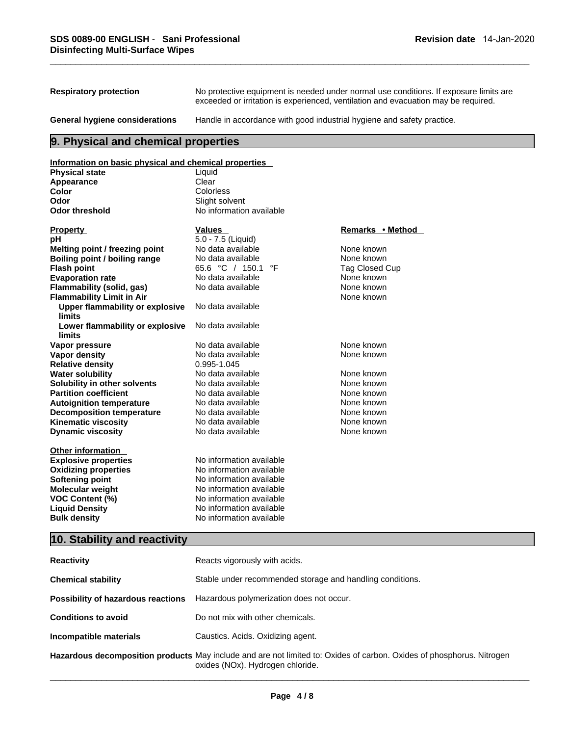| SDS 0089-00 ENGLISH - Sani Professional<br><b>Disinfecting Multi-Surface Wipes</b> |                                                                                                                                                                             | Revision date 14-Jan-2020 |  |  |
|------------------------------------------------------------------------------------|-----------------------------------------------------------------------------------------------------------------------------------------------------------------------------|---------------------------|--|--|
|                                                                                    |                                                                                                                                                                             |                           |  |  |
| <b>Respiratory protection</b>                                                      | No protective equipment is needed under normal use conditions. If exposure limits are<br>exceeded or irritation is experienced, ventilation and evacuation may be required. |                           |  |  |
| General hygiene considerations                                                     | Handle in accordance with good industrial hygiene and safety practice.                                                                                                      |                           |  |  |
| 9. Physical and chemical properties                                                |                                                                                                                                                                             |                           |  |  |
| Information on basic physical and chemical properties                              |                                                                                                                                                                             |                           |  |  |
| <b>Physical state</b>                                                              | Liquid                                                                                                                                                                      |                           |  |  |
| Appearance                                                                         | Clear                                                                                                                                                                       |                           |  |  |

# **Information on basic physical and chemical properties**

| <b>Physical state</b>                                   | Liquid                                                    |                       |
|---------------------------------------------------------|-----------------------------------------------------------|-----------------------|
| Appearance                                              | Clear                                                     |                       |
| Color                                                   | Colorless                                                 |                       |
| Odor                                                    | Slight solvent                                            |                       |
| <b>Odor threshold</b>                                   | No information available                                  |                       |
| <b>Property</b>                                         | <b>Values</b>                                             | Remarks • Method      |
| рH                                                      | 5.0 - 7.5 (Liquid)                                        |                       |
| Melting point / freezing point                          | No data available                                         | None known            |
| Boiling point / boiling range                           | No data available                                         | None known            |
| <b>Flash point</b>                                      | 65.6 °C / 150.1<br>°F                                     | <b>Tag Closed Cup</b> |
| <b>Evaporation rate</b>                                 | No data available                                         | None known            |
| Flammability (solid, gas)                               | No data available                                         | None known            |
| <b>Flammability Limit in Air</b>                        |                                                           | None known            |
| <b>Upper flammability or explosive</b><br><b>limits</b> | No data available                                         |                       |
| Lower flammability or explosive<br>limits               | No data available                                         |                       |
| Vapor pressure                                          | No data available                                         | None known            |
| Vapor density                                           | No data available                                         | None known            |
| <b>Relative density</b>                                 | 0.995-1.045                                               |                       |
| <b>Water solubility</b>                                 | No data available                                         | None known            |
| Solubility in other solvents                            | No data available                                         | None known            |
| <b>Partition coefficient</b>                            | No data available                                         | None known            |
| <b>Autoignition temperature</b>                         | No data available                                         | None known            |
| <b>Decomposition temperature</b>                        | No data available                                         | None known            |
| <b>Kinematic viscosity</b>                              | No data available                                         | None known            |
| <b>Dynamic viscosity</b>                                | No data available                                         | None known            |
| <b>Other information</b>                                |                                                           |                       |
| <b>Explosive properties</b>                             | No information available                                  |                       |
| <b>Oxidizing properties</b>                             | No information available                                  |                       |
| <b>Softening point</b>                                  | No information available                                  |                       |
| Molecular weight                                        | No information available                                  |                       |
| <b>VOC Content (%)</b>                                  | No information available                                  |                       |
| <b>Liquid Density</b>                                   | No information available                                  |                       |
| <b>Bulk density</b>                                     | No information available                                  |                       |
| 10. Stability and reactivity                            |                                                           |                       |
| <b>Reactivity</b>                                       | Reacts vigorously with acids.                             |                       |
| <b>Chemical stability</b>                               | Stable under recommended storage and handling conditions. |                       |

| <b>Reactivity</b>                  | Reacts vigorously with acids.                                                                                                                             |
|------------------------------------|-----------------------------------------------------------------------------------------------------------------------------------------------------------|
| <b>Chemical stability</b>          | Stable under recommended storage and handling conditions.                                                                                                 |
| Possibility of hazardous reactions | Hazardous polymerization does not occur.                                                                                                                  |
| <b>Conditions to avoid</b>         | Do not mix with other chemicals.                                                                                                                          |
| Incompatible materials             | Caustics. Acids. Oxidizing agent.                                                                                                                         |
|                                    | Hazardous decomposition products May include and are not limited to: Oxides of carbon. Oxides of phosphorus. Nitrogen<br>oxides (NOx). Hydrogen chloride. |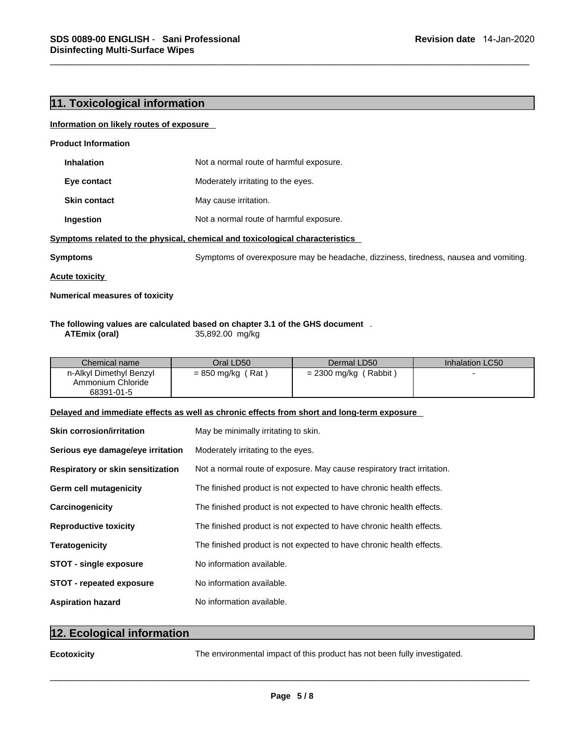## **Information on likely routes of exposure**

| <b>Product Information</b>            |                                                                                      |
|---------------------------------------|--------------------------------------------------------------------------------------|
| <b>Inhalation</b>                     | Not a normal route of harmful exposure.                                              |
| Eye contact                           | Moderately irritating to the eyes.                                                   |
| <b>Skin contact</b>                   | May cause irritation.                                                                |
| Ingestion                             | Not a normal route of harmful exposure.                                              |
|                                       | Symptoms related to the physical, chemical and toxicological characteristics         |
| <b>Symptoms</b>                       | Symptoms of overexposure may be headache, dizziness, tiredness, nausea and vomiting. |
| <b>Acute toxicity</b>                 |                                                                                      |
| <b>Numerical measures of toxicity</b> |                                                                                      |

# **The following values are calculated based on chapter 3.1 of the GHS document** . **ATEmix (oral)** 35,892.00 mg/kg

| Chemical name                                              | Oral LD50 I         | Dermal LD50             | Inhalation LC50 |
|------------------------------------------------------------|---------------------|-------------------------|-----------------|
| n-Alkyl Dimethyl Benzyl<br>Ammonium Chloride<br>68391-01-5 | $= 850$ mg/kg (Rat) | $= 2300$ mg/kg (Rabbit) |                 |

# **Delayed and immediate effects as well as chronic effects from short and long-term exposure**

| <b>Skin corrosion/irritation</b>  | May be minimally irritating to skin.                                      |
|-----------------------------------|---------------------------------------------------------------------------|
| Serious eye damage/eye irritation | Moderately irritating to the eyes.                                        |
| Respiratory or skin sensitization | Not a normal route of exposure. May cause respiratory tract irritation.   |
| <b>Germ cell mutagenicity</b>     | The finished product is not expected to have chronic health effects.      |
| Carcinogenicity                   | The finished product is not expected to have chronic health effects.      |
| <b>Reproductive toxicity</b>      | The finished product is not expected to have chronic health effects.      |
| <b>Teratogenicity</b>             | The finished product is not expected to have chronic health effects.      |
| <b>STOT - single exposure</b>     | No information available.                                                 |
| <b>STOT - repeated exposure</b>   | No information available.                                                 |
| <b>Aspiration hazard</b>          | No information available.                                                 |
|                                   |                                                                           |
| 12. Ecological information        |                                                                           |
| <b>Ecotoxicity</b>                | The environmental impact of this product has not been fully investigated. |
|                                   |                                                                           |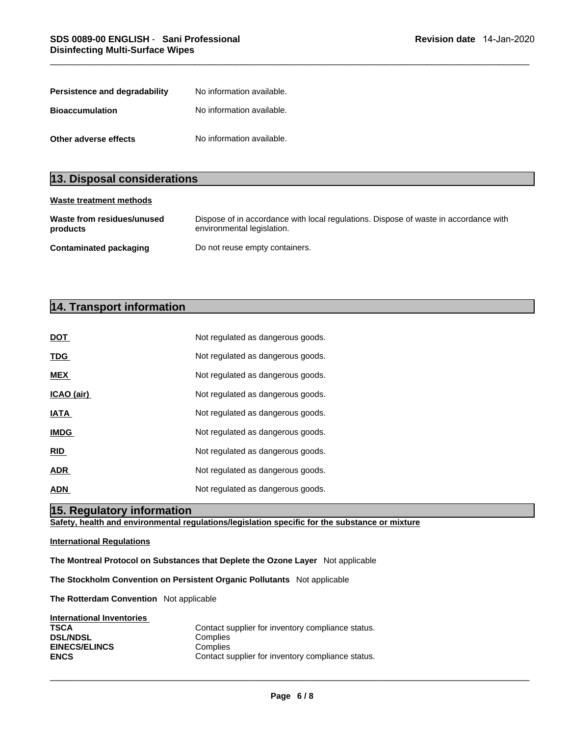| SDS 0089-00 ENGLISH - Sani Professional<br><b>Disinfecting Multi-Surface Wipes</b> |                                        |  |  |  |  |
|------------------------------------------------------------------------------------|----------------------------------------|--|--|--|--|
|                                                                                    |                                        |  |  |  |  |
| Persistence and degradability                                                      | No information available.              |  |  |  |  |
| <b>Bioaccumulation</b>                                                             | No information available.              |  |  |  |  |
| Other adverse effects                                                              | No information available.              |  |  |  |  |
|                                                                                    |                                        |  |  |  |  |
| 13. Disposal considerations                                                        |                                        |  |  |  |  |
| <b>Waste treatment methods</b>                                                     |                                        |  |  |  |  |
| Waste from residues/unused                                                         | Dispose of in accordance with local re |  |  |  |  |

| Other adverse effects                  | No information available.                                                                                          |  |  |  |
|----------------------------------------|--------------------------------------------------------------------------------------------------------------------|--|--|--|
|                                        |                                                                                                                    |  |  |  |
| 13. Disposal considerations            |                                                                                                                    |  |  |  |
| <b>Waste treatment methods</b>         |                                                                                                                    |  |  |  |
| Waste from residues/unused<br>products | Dispose of in accordance with local regulations. Dispose of waste in accordance with<br>environmental legislation. |  |  |  |
| <b>Contaminated packaging</b>          | Do not reuse empty containers.                                                                                     |  |  |  |
|                                        |                                                                                                                    |  |  |  |
|                                        |                                                                                                                    |  |  |  |
| 14. Transport information              |                                                                                                                    |  |  |  |
| <b>DOT</b>                             | Not regulated as dangerous goods.                                                                                  |  |  |  |
|                                        |                                                                                                                    |  |  |  |

| DOT                              | Not regulated as dangerous goods.                                                  |
|----------------------------------|------------------------------------------------------------------------------------|
| <u>TDG</u>                       | Not regulated as dangerous goods.                                                  |
| <b>MEX</b>                       | Not regulated as dangerous goods.                                                  |
| ICAO (air)                       | Not regulated as dangerous goods.                                                  |
| IATA                             | Not regulated as dangerous goods.                                                  |
| <b>IMDG</b>                      | Not regulated as dangerous goods.                                                  |
| RID                              | Not regulated as dangerous goods.                                                  |
| <b>ADR</b>                       | Not regulated as dangerous goods.                                                  |
| <b>ADN</b>                       | Not regulated as dangerous goods.                                                  |
| 15. Regulatory information       |                                                                                    |
|                                  | Safety, health and environmental regulations/legislation specific for the substanc |
| <b>International Regulations</b> |                                                                                    |

**Safety, health and environmental regulations/legislation specific for the substance or mixture**

# **International Regulations**

**The Montreal Protocol on Substances that Deplete the Ozone Layer** Not applicable

**The Stockholm Convention on Persistent Organic Pollutants** Not applicable

**The Rotterdam Convention** Not applicable

| International Inventories |                                                   |
|---------------------------|---------------------------------------------------|
| <b>TSCA</b>               | Contact supplier for inventory compliance status. |
| <b>DSL/NDSL</b>           | Complies                                          |
| <b>EINECS/ELINCS</b>      | Complies                                          |
| <b>ENCS</b>               | Contact supplier for inventory compliance status. |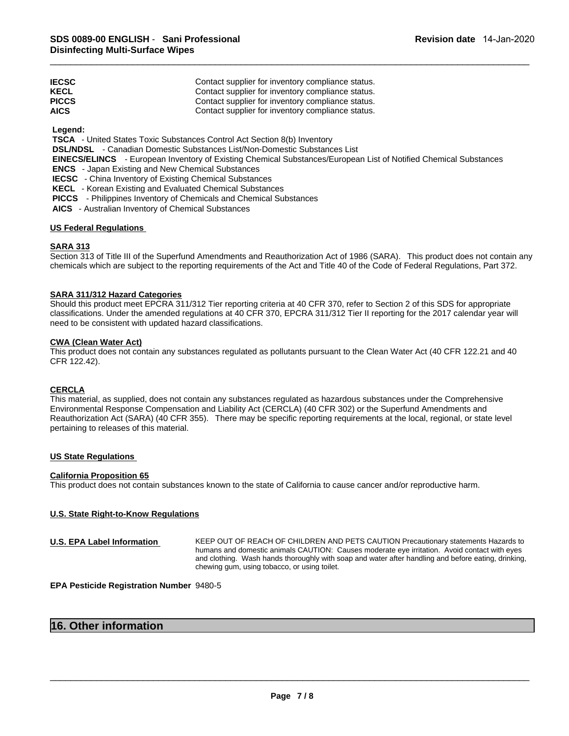| <b>IECSC</b> | Contact supplier for inventory compliance status. |
|--------------|---------------------------------------------------|
| <b>KECL</b>  | Contact supplier for inventory compliance status. |
| <b>PICCS</b> | Contact supplier for inventory compliance status. |
| <b>AICS</b>  | Contact supplier for inventory compliance status. |

 **Legend:** 

 **TSCA** - United States Toxic Substances Control Act Section 8(b) Inventory

 **DSL/NDSL** - Canadian Domestic Substances List/Non-Domestic Substances List

 **EINECS/ELINCS** - European Inventory of Existing Chemical Substances/European List of Notified Chemical Substances

 **ENCS** - Japan Existing and New Chemical Substances

 **IECSC** - China Inventory of Existing Chemical Substances

 **KECL** - Korean Existing and Evaluated Chemical Substances

 **PICCS** - Philippines Inventory of Chemicals and Chemical Substances

 **AICS** - Australian Inventory of Chemical Substances

# **US Federal Regulations**

# **SARA 313**

Section 313 of Title III of the Superfund Amendments and Reauthorization Act of 1986 (SARA). This product does not contain any chemicals which are subject to the reporting requirements of the Act and Title 40 of the Code of Federal Regulations, Part 372.

# **SARA 311/312 Hazard Categories**

Should this product meet EPCRA 311/312 Tier reporting criteria at 40 CFR 370, refer to Section 2 of this SDS for appropriate classifications. Under the amended regulations at 40 CFR 370, EPCRA 311/312 Tier II reporting for the 2017 calendar year will need to be consistent with updated hazard classifications.

# **CWA (Clean Water Act)**

This product does not contain any substances regulated as pollutants pursuant to the Clean Water Act (40 CFR 122.21 and 40 CFR 122.42).

# **CERCLA**

This material, as supplied, does not contain any substances regulated as hazardous substances under the Comprehensive Environmental Response Compensation and Liability Act (CERCLA) (40 CFR 302) or the Superfund Amendments and Reauthorization Act (SARA) (40 CFR 355). There may be specific reporting requirements at the local, regional, or state level pertaining to releases of this material.

# **US State Regulations**

### **California Proposition 65**

This product does not contain substances known to the state of California to cause cancer and/or reproductive harm.

# **U.S. State Right-to-Know Regulations**

```
U.S. EPA Label Information KEEP OUT OF REACH OF CHILDREN AND PETS CAUTION Precautionary statements Hazards to 
                                                     humans and domestic animals CAUTION: Causes moderate eye irritation. Avoid contact with eyes 
                                                     and clothing. Wash hands thoroughly with soap and water after handling and before eating, drinking, 
                                                     chewing gum, using tobacco, or using toilet. 
16. Other information<br>
16. Other information<br>
16. Other information<br>
16. Other information<br>
16. Other information<br>
16. Other information<br>
16. Other information<br>
16. Other information
```
**EPA Pesticide Registration Number** 9480-5